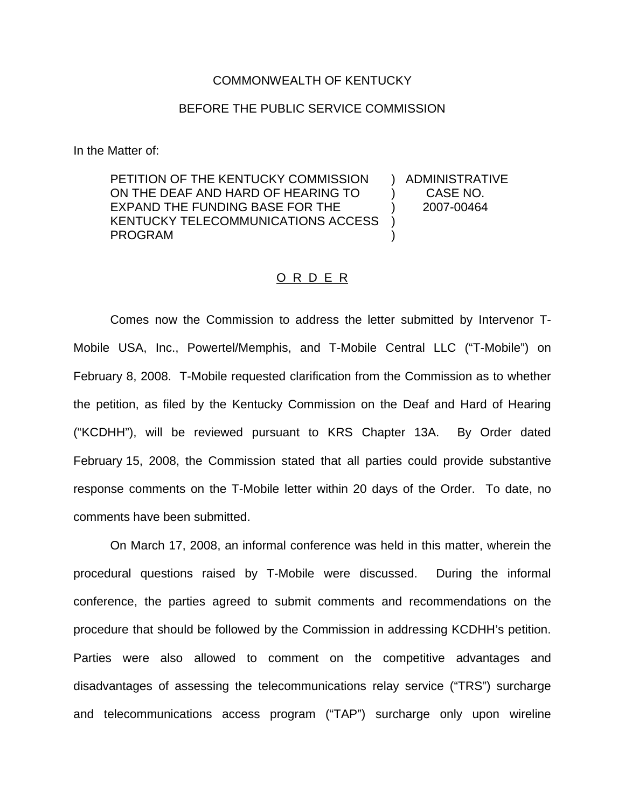#### COMMONWEALTH OF KENTUCKY

### BEFORE THE PUBLIC SERVICE COMMISSION

In the Matter of:

PETITION OF THE KENTUCKY COMMISSION ON THE DEAF AND HARD OF HEARING TO EXPAND THE FUNDING BASE FOR THE KENTUCKY TELECOMMUNICATIONS ACCESS PROGRAM ) )

) ADMINISTRATIVE ) CASE NO. ) 2007-00464

### O R D E R

Comes now the Commission to address the letter submitted by Intervenor T-Mobile USA, Inc., Powertel/Memphis, and T-Mobile Central LLC ("T-Mobile") on February 8, 2008. T-Mobile requested clarification from the Commission as to whether the petition, as filed by the Kentucky Commission on the Deaf and Hard of Hearing ("KCDHH"), will be reviewed pursuant to KRS Chapter 13A. By Order dated February 15, 2008, the Commission stated that all parties could provide substantive response comments on the T-Mobile letter within 20 days of the Order. To date, no comments have been submitted.

On March 17, 2008, an informal conference was held in this matter, wherein the procedural questions raised by T-Mobile were discussed. During the informal conference, the parties agreed to submit comments and recommendations on the procedure that should be followed by the Commission in addressing KCDHH's petition. Parties were also allowed to comment on the competitive advantages and disadvantages of assessing the telecommunications relay service ("TRS") surcharge and telecommunications access program ("TAP") surcharge only upon wireline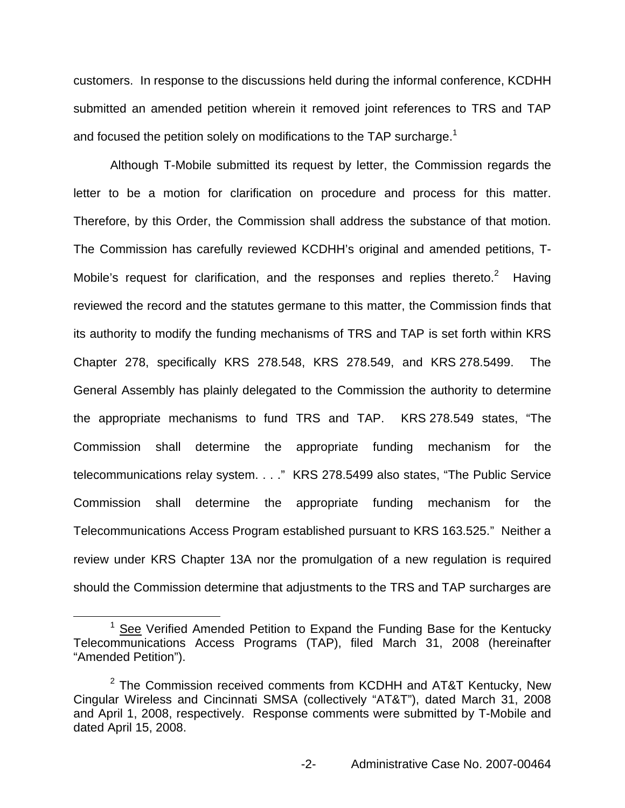customers. In response to the discussions held during the informal conference, KCDHH submitted an amended petition wherein it removed joint references to TRS and TAP and focused the petition solely on modifications to the TAP surcharge.<sup>1</sup>

Although T-Mobile submitted its request by letter, the Commission regards the letter to be a motion for clarification on procedure and process for this matter. Therefore, by this Order, the Commission shall address the substance of that motion. The Commission has carefully reviewed KCDHH's original and amended petitions, T-Mobile's request for clarification, and the responses and replies thereto.<sup>2</sup> Having reviewed the record and the statutes germane to this matter, the Commission finds that its authority to modify the funding mechanisms of TRS and TAP is set forth within KRS Chapter 278, specifically KRS 278.548, KRS 278.549, and KRS 278.5499. The General Assembly has plainly delegated to the Commission the authority to determine the appropriate mechanisms to fund TRS and TAP. KRS 278.549 states, "The Commission shall determine the appropriate funding mechanism for the telecommunications relay system. . . ." KRS 278.5499 also states, "The Public Service Commission shall determine the appropriate funding mechanism for the Telecommunications Access Program established pursuant to KRS 163.525." Neither a review under KRS Chapter 13A nor the promulgation of a new regulation is required should the Commission determine that adjustments to the TRS and TAP surcharges are

<sup>&</sup>lt;sup>1</sup> See Verified Amended Petition to Expand the Funding Base for the Kentucky Telecommunications Access Programs (TAP), filed March 31, 2008 (hereinafter "Amended Petition").

 $2$  The Commission received comments from KCDHH and AT&T Kentucky, New Cingular Wireless and Cincinnati SMSA (collectively "AT&T"), dated March 31, 2008 and April 1, 2008, respectively. Response comments were submitted by T-Mobile and dated April 15, 2008.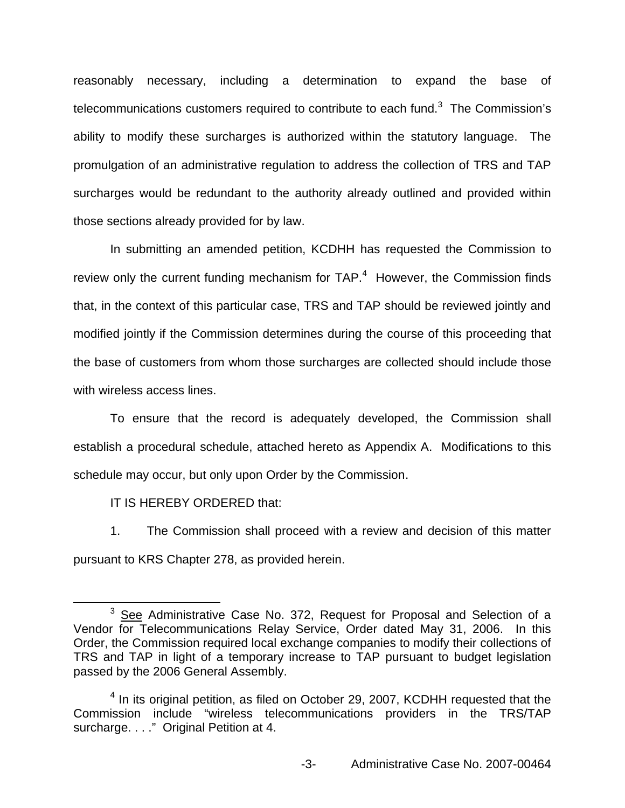reasonably necessary, including a determination to expand the base of telecommunications customers required to contribute to each fund. $3$  The Commission's ability to modify these surcharges is authorized within the statutory language. The promulgation of an administrative regulation to address the collection of TRS and TAP surcharges would be redundant to the authority already outlined and provided within those sections already provided for by law.

In submitting an amended petition, KCDHH has requested the Commission to review only the current funding mechanism for  $TAP<sup>4</sup>$  However, the Commission finds that, in the context of this particular case, TRS and TAP should be reviewed jointly and modified jointly if the Commission determines during the course of this proceeding that the base of customers from whom those surcharges are collected should include those with wireless access lines.

To ensure that the record is adequately developed, the Commission shall establish a procedural schedule, attached hereto as Appendix A. Modifications to this schedule may occur, but only upon Order by the Commission.

IT IS HEREBY ORDERED that:

1. The Commission shall proceed with a review and decision of this matter pursuant to KRS Chapter 278, as provided herein.

 $3$  See Administrative Case No. 372, Request for Proposal and Selection of a Vendor for Telecommunications Relay Service, Order dated May 31, 2006. In this Order, the Commission required local exchange companies to modify their collections of TRS and TAP in light of a temporary increase to TAP pursuant to budget legislation passed by the 2006 General Assembly.

<sup>&</sup>lt;sup>4</sup> In its original petition, as filed on October 29, 2007, KCDHH requested that the Commission include "wireless telecommunications providers in the TRS/TAP surcharge. . . ." Original Petition at 4.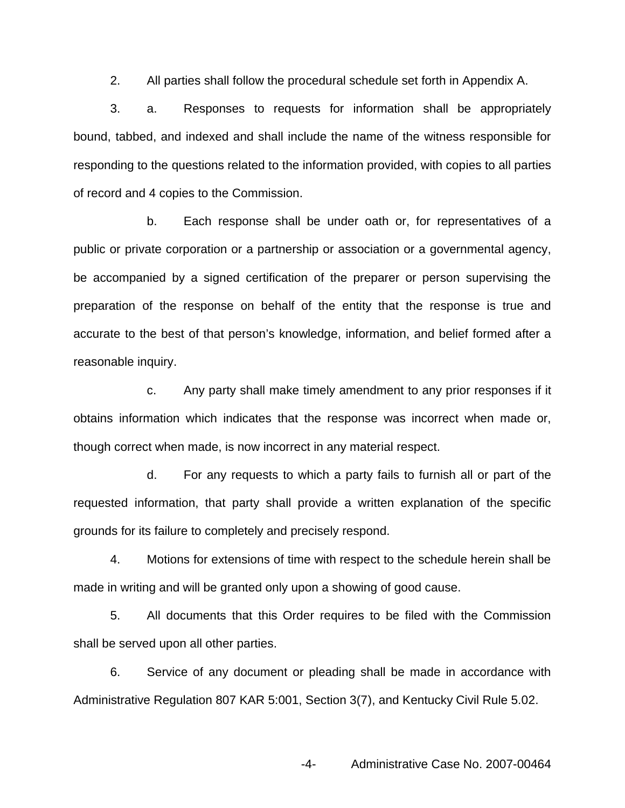2. All parties shall follow the procedural schedule set forth in Appendix A.

3. a. Responses to requests for information shall be appropriately bound, tabbed, and indexed and shall include the name of the witness responsible for responding to the questions related to the information provided, with copies to all parties of record and 4 copies to the Commission.

b. Each response shall be under oath or, for representatives of a public or private corporation or a partnership or association or a governmental agency, be accompanied by a signed certification of the preparer or person supervising the preparation of the response on behalf of the entity that the response is true and accurate to the best of that person's knowledge, information, and belief formed after a reasonable inquiry.

c. Any party shall make timely amendment to any prior responses if it obtains information which indicates that the response was incorrect when made or, though correct when made, is now incorrect in any material respect.

d. For any requests to which a party fails to furnish all or part of the requested information, that party shall provide a written explanation of the specific grounds for its failure to completely and precisely respond.

4. Motions for extensions of time with respect to the schedule herein shall be made in writing and will be granted only upon a showing of good cause.

5. All documents that this Order requires to be filed with the Commission shall be served upon all other parties.

6. Service of any document or pleading shall be made in accordance with Administrative Regulation 807 KAR 5:001, Section 3(7), and Kentucky Civil Rule 5.02.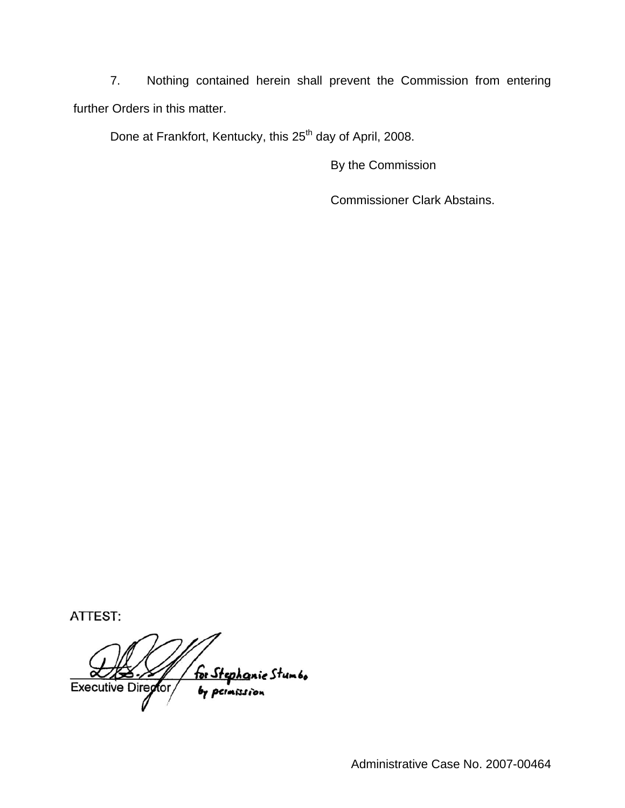7. Nothing contained herein shall prevent the Commission from entering further Orders in this matter.

Done at Frankfort, Kentucky, this 25<sup>th</sup> day of April, 2008.

By the Commission

Commissioner Clark Abstains.

ATTEST:

for Stephanic Stumbo<br>by permission Executive Director